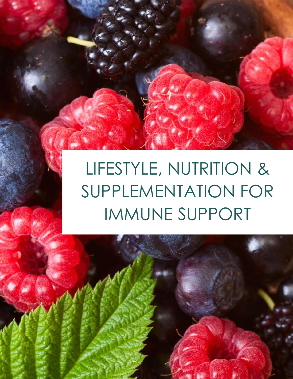LIFESTYLE, NUTRITION & SUPPLEMENTATION FOR IMMUNE SUPPORT

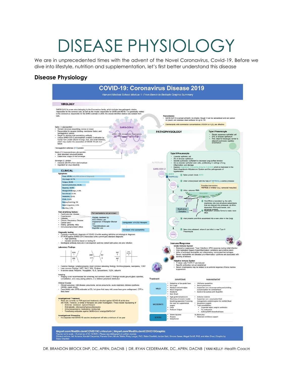### DISEASE PHYSIOLOGY

We are in unprecedented times with the advent of the Novel Coronavirus, Covid-19. Before we dive into lifestyle, nutrition and supplementation, let's first better understand this disease

#### **Disease Physiology**



DR. BRANDON BROCK DNP, DC, APRN, DACNB | DR. RYAN CEDERMARK, DC, APRN, DACNB |YANI KELLY -Health CoacH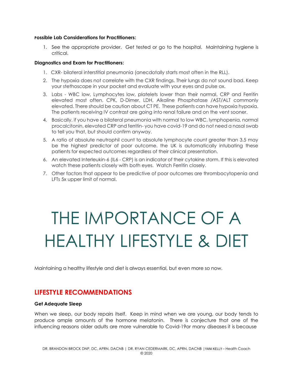#### **Possible Lab Considerations for Practitioners:**

1. See the appropriate provider. Get tested or go to the hospital. Maintaining hygiene is critical.

#### **Diagnostics and Exam for Practitioners:**

- 1. CXR- bilateral interstitial pneumonia (anecdotally starts most often in the RLL).
- 2. The hypoxia does not correlate with the CXR findings. Their lungs do not sound bad. Keep your stethoscope in your pocket and evaluate with your eyes and pulse ox.
- 3. Labs WBC low, Lymphocytes low, platelets lower than their normal, CRP and Ferritin elevated most often. CPK, D-Dimer, LDH, Alkaline Phosphatase /AST/ALT commonly elevated. There should be caution about CT PE. These patients can have hypoxia hypoxia. The patients receiving IV contrast are going into renal failure and on the vent sooner.
- 4. Basically, if you have a bilateral pneumonia with normal to low WBC, lymphopenia, normal procalcitonin, elevated CRP and ferritin- you have covid-19 and do not need a nasal swab to tell you that, but should confirm anyway.
- 5. A ratio of absolute neutrophil count to absolute lymphocyte count greater than 3.5 may be the highest predictor of poor outcome. the UK is automatically intubating these patients for expected outcomes regardless of their clinical presentation.
- 6. An elevated Interleukin-6 (IL6 CRP) is an indicator of their cytokine storm. If this is elevated watch these patients closely with both eyes. Watch Ferritin closely.
- 7. Other factors that appear to be predictive of poor outcomes are thrombocytopenia and LFTs 5x upper limit of normal.

## THE IMPORTANCE OF A HEALTHY LIFESTYLE & DIET

Maintaining a healthy lifestyle and diet is always essential, but even more so now.

#### **LIFESTYLE RECOMMENDATIONS**

#### **Get Adequate Sleep**

When we sleep, our body repairs itself. Keep in mind when we are young, our body tends to produce ample amounts of the hormone melatonin. There is conjecture that one of the influencing reasons older adults are more vulnerable to Covid-19or many diseases it is because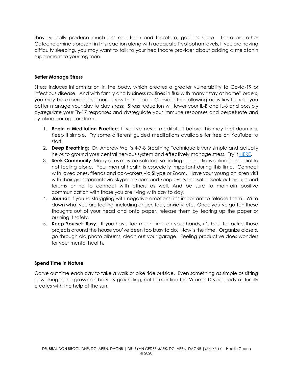they typically produce much less melatonin and therefore, get less sleep. There are other Catecholamine's present in this reaction along with adequate Tryptophan levels, If you are having difficulty sleeping, you may want to talk to your healthcare provider about adding a melatonin supplement to your regimen.

#### **Better Manage Stress**

Stress induces inflammation in the body, which creates a greater vulnerability to Covid-19 or infectious disease. And with family and business routines in flux with many "stay at home" orders, you may be experiencing more stress than usual. Consider the following activities to help you better manage your day to day stress: Stress reduction will lower your IL-B and IL-6 and possibly dysregulate your Th-17 responses and dysregulate your immune responses and perpetuate and cytokine barrage or storm.

- 1. **Begin a Meditation Practice**: If you've never meditated before this may feel daunting. Keep it simple. Try some different guided meditations available for free on YouTube to start.
- 2. **Deep Breathing**: Dr. Andrew Weil's 4-7-8 Breathing Technique is very simple and actually helps to ground your central nervous system and effectively manage stress. Try it [HERE.](https://www.drweil.com/videos-features/videos/breathing-exercises-4-7-8-breath/)
- 3. **Seek Community**: Many of us may be isolated, so finding connections online is essential to not feeling alone. Your mental health is especially important during this time. Connect with loved ones, friends and co-workers via Skype or Zoom. Have your young children visit with their grandparents via Skype or Zoom and keep everyone safe. Seek out groups and forums online to connect with others as well. And be sure to maintain positive communication with those you are living with day to day.
- 4. **Journal**: If you're struggling with negative emotions, it's important to release them. Write down what you are feeling, including anger, fear, anxiety, etc. Once you've gotten these thoughts out of your head and onto paper, release them by tearing up the paper or burning it safely.
- 5. **Keep Yourself Busy**: If you have too much time on your hands, it's best to tackle those projects around the house you've been too busy to do. Now is the time! Organize closets, go through old photo albums, clean out your garage. Feeling productive does wonders for your mental health.

#### **Spend Time in Nature**

Carve out time each day to take a walk or bike ride outside. Even something as simple as sitting or walking in the grass can be very grounding, not to mention the Vitamin D your body naturally creates with the help of the sun.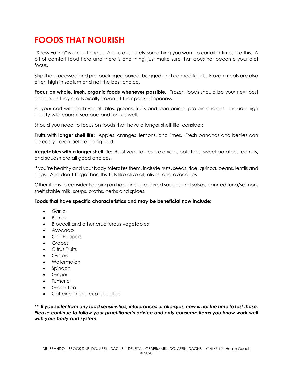### **FOODS THAT NOURISH**

"Stress Eating" is a real thing …. And is absolutely something you want to curtail in times like this. A bit of comfort food here and there is one thing, just make sure that does not become your diet focus.

Skip the processed and pre-packaged boxed, bagged and canned foods. Frozen meals are also often high in sodium and not the best choice.

**Focus on whole, fresh, organic foods whenever possible.** Frozen foods should be your next best choice, as they are typically frozen at their peak of ripeness.

Fill your cart with fresh vegetables, greens, fruits and lean animal protein choices. Include high quality wild caught seafood and fish, as well.

Should you need to focus on foods that have a longer shelf life, consider:

**Fruits with longer shelf life:** Apples, oranges, lemons, and limes. Fresh bananas and berries can be easily frozen before going bad.

**Vegetables with a longer shelf life:** Root vegetables like onions, potatoes, sweet potatoes, carrots, and squash are all good choices.

If you're healthy and your body tolerates them, include nuts, seeds, rice, quinoa, beans, lentils and eggs. And don't forget healthy fats like olive oil, olives, and avocados.

Other items to consider keeping on hand include: jarred sauces and salsas, canned tuna/salmon, shelf stable milk, soups, broths, herbs and spices.

#### **Foods that have specific characteristics and may be beneficial now include:**

- Garlic
- **Berries**
- Broccoli and other cruciferous vegetables
- Avocado
- Chili Peppers
- Grapes
- Citrus Fruits
- Oysters
- Watermelon
- Spinach
- Ginger
- Tumeric
- Green Tea
- Caffeine in one cup of coffee

*\*\* If you suffer from any food sensitivities, intolerances or allergies, now is not the time to test those. Please continue to follow your practitioner's advice and only consume items you know work well with your body and system.*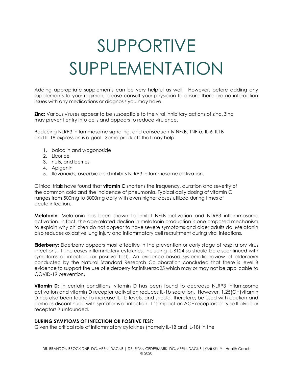# SUPPORTIVE SUPPLEMENTATION

Adding appropriate supplements can be very helpful as well. However, before adding any supplements to your regimen, please consult your physician to ensure there are no interaction issues with any medications or diagnosis you may have.

**Zinc:** Various viruses appear to be susceptible to the viral inhibitory actions of zinc. Zinc may prevent entry into cells and appears to reduce virulence.

Reducing NLRP3 inflammasome signaling, and consequently NFkB, TNF-a, IL-6, IL1B and IL-18 expression is a goal. Some products that may help.

- 1. baicalin and wogonoside
- 2. Licorice
- 3. nuts, and berries
- 4. Apigenin
- 5. flavonoids, ascorbic acid inhibits NLRP3 inflammasome activation.

Clinical trials have found that **vitamin C** shortens the frequency, duration and severity of the common cold and the incidence of pneumonia. Typical daily dosing of vitamin C ranges from 500mg to 3000mg daily with even higher doses utilized during times of acute infection.

**Melatonin:** Melatonin has been shown to inhibit NFkB activation and NLRP3 inflammasome activation. In fact, the age-related decline in melatonin production is one proposed mechanism to explain why children do not appear to have severe symptoms and older adults do. Melatonin also reduces oxidative lung injury and inflammatory cell recruitment during viral infections.

**Elderberry:** Elderberry appears most effective in the prevention or early stage of respiratory virus infections. It increases inflammatory cytokines, including IL-B124 so should be discontinued with symptoms of infection (or positive test). An evidence-based systematic review of elderberry conducted by the Natural Standard Research Collaboration concluded that there is level B evidence to support the use of elderberry for influenza25 which may or may not be applicable to COVID-19 prevention.

**Vitamin D:** In certain conditions, vitamin D has been found to decrease NLRP3 inflamasome activation and vitamin D receptor activation reduces IL-1b secretion. However, 1,25(OH)vitamin D has also been found to increase IL-1b levels, and should, therefore, be used with caution and perhaps discontinued with symptoms of infection. It's Impact on ACE receptors or type II alveolar receptors is unfounded.

#### **DURING SYMPTOMS OF INFECTION OR POSITIVE TEST:**

Given the critical role of inflammatory cytokines (namely IL-1B and IL-18) in the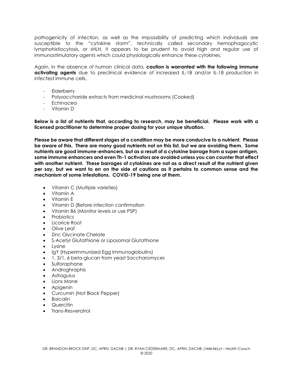pathogenicity of infection, as well as the impossibility of predicting which individuals are susceptible to the "cytokine storm", technically called secondary hemophagocytic lymphohistiocytosis, or sHLH, it appears to be prudent to avoid high and regular use of immunostimulatory agents which could physiologically enhance these cytokines.

Again, in the absence of human clinical data, **caution is warranted with the following immune activating agents** due to preclinical evidence of increased IL-1B and/or IL-18 production in infected immune cells.

- **Elderberry**
- Polysaccharide extracts from medicinal mushrooms (Cooked)
- Echinacea
- Vitamin D

**Below is a list of nutrients that, according to research, may be beneficial. Please work with a licensed practitioner to determine proper dosing for your unique situation.** 

**Please be aware that different stages of a condition may be more conducive to a nutrient. Please be aware of this. There are many good nutrients not on this list, but we are avoiding them. Some nutrients are good immune-enhancers, but as a result of a cytokine barrage from a super antigen, some immune enhancers and even Th-1 activators are avoided unless you can counter that effect with another nutrient. These barrages of cytokines are not as a direct result of the nutrient given per say, but we want to err on the side of cautions as it pertains to common sense and the mechanism of some infestations. COVID-19 being one of them.** 

- Vitamin C (Multiple varieties)
- Vitamin A
- Vitamin E
- Vitamin D (Before infection confirmation
- Vitamin B6 (Monitor levels or use P5P)
- Probiotics
- Licorice Root
- Olive Leaf
- Zinc Glycinate Chelate
- S-Acetyl Glutathione or Liposomal Glutathione
- Lysine
- IgY (Hyperimmunized Egg Immunoglobulins)
- 1, 3/1, 6 beta-glucan from yeast Saccharomyces
- Sulforaphane
- Androghraphis
- Astragulus
- Lions Mane
- Apigenin
- Curcumin (Not Black Pepper)
- **Baicalin**
- Quercitin
- Trans-Resveratrol